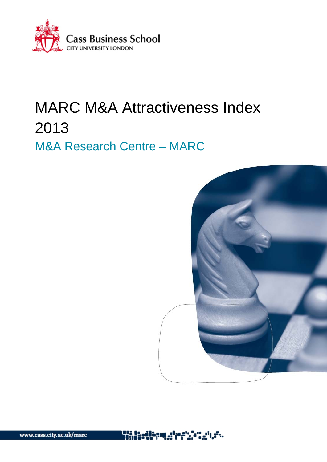

# MARC M&A Attractiveness Index 2013 M&A Research Centre – MARC



www.cass.city.ac.uk/marc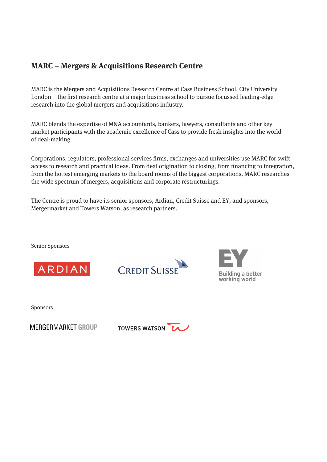## **MARC – Mergers & Acquisitions Research Centre**

MARC is the Mergers and Acquisitions Research Centre at Cass Business School, City University London – the first research centre at a major business school to pursue focussed leading-edge research into the global mergers and acquisitions industry.

MARC blends the expertise of M&A accountants, bankers, lawyers, consultants and other key market participants with the academic excellence of Cass to provide fresh insights into the world of deal-making.

Corporations, regulators, professional services firms, exchanges and universities use MARC for swift access to research and practical ideas. From deal origination to closing, from financing to integration, from the hottest emerging markets to the board rooms of the biggest corporations, MARC researches the wide spectrum of mergers, acquisitions and corporate restructurings.

The Centre is proud to have its senior sponsors, Ardian, Credit Suisse and EY, and sponsors, Mergermarket and Towers Watson, as research partners.

Senior Sponsors







Sponsors

**MERGERMARKET GROUP** 

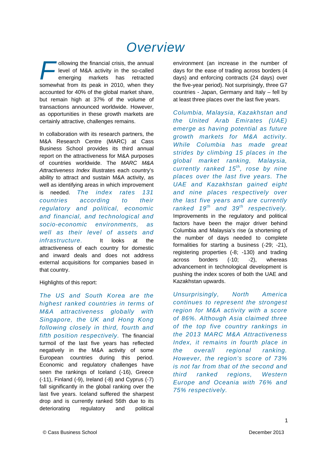## *Overview*

ollowing the financial crisis, the annual **level of M&A activity in the so-called** emerging markets has retracted ollowing the financial crisis, the annual<br>level of M&A activity in the so-called<br>emerging markets has retracted<br>somewhat from its peak in 2010, when they accounted for 40% of the global market share, but remain high at 37% of the volume of transactions announced worldwide. However, as opportunities in these growth markets are certainly attractive, challenges remains.

In collaboration with its research partners, the M&A Research Centre (MARC) at Cass Business School provides its third annual report on the attractiveness for M&A purposes of countries worldwide. The *MARC M&A Attractiveness Index* illustrates each country's ability to attract and sustain M&A activity, as well as identifying areas in which improvement is needed. *The index rates 131 countries according to their regulatory and political, economic and financial, and technological and socio-economic environments, as well as their level of assets and infrastructure.* It looks at the attractiveness of each country for domestic and inward deals and does not address external acquisitions for companies based in that country.

#### Highlights of this report:

*The US and South Korea are the highest ranked countries in terms of M&A attractiveness globally with Singapore, the UK and Hong Kong following closely in third, fourth and fifth position respectively.* The financial turmoil of the last five years has reflected negatively in the M&A activity of some European countries during this period. Economic and regulatory challenges have seen the rankings of Iceland (-16), Greece (-11), Finland (-9), Ireland (-8) and Cyprus (-7) fall significantly in the global ranking over the last five years. Iceland suffered the sharpest drop and is currently ranked 56th due to its deteriorating regulatory and political environment (an increase in the number of days for the ease of trading across borders (4 days) and enforcing contracts (24 days) over the five-year period). Not surprisingly, three G7 countries - Japan, Germany and Italy – fell by at least three places over the last five years.

*Columbia, Malaysia, Kazakhstan and the United Arab Emirates (UAE) emerge as having potential as future growth markets for M&A activity. While Columbia has made great strides by climbing 15 places in the global market ranking, Malaysia, currently ranked 15th, rose by nine places over the last five years. The UAE and Kazakhstan gained eight and nine places respectively over the last five years and are currently ranked 19th and 39th respectively.*  Improvements in the regulatory and political factors have been the major driver behind Columbia and Malaysia's rise (a shortening of the number of days needed to complete formalities for starting a business (-29; -21), registering properties (-8; -130) and trading across borders (-10; -2), whereas advancement in technological development is pushing the index scores of both the UAE and Kazakhstan upwards.

*Unsurprisingly, North America continues to represent the strongest region for M&A activity with a score of 86%. Although Asia claimed three of the top five country rankings in the 2013 MARC M&A Attractiveness Index, it remains in fourth place in the overall regional ranking. However, the region's score of 73% is not far from that of the second and third ranked regions, Western Europe and Oceania with 76% and 75% respectively.*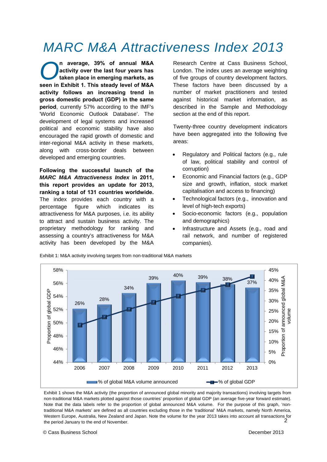## *MARC M&A Attractiveness Index 2013*

**n average, 39% of annual M&A activity over the last four years has taken place in emerging markets, as seen in Exhibit 1. This steady level of M&A activity follows an increasing trend in gross domestic product (GDP) in the same period**, currently 57% according to the IMF's 'World Economic Outlook Database'. The development of legal systems and increased political and economic stability have also encouraged the rapid growth of domestic and inter-regional M&A activity in these markets, along with cross-border deals between developed and emerging countries. *O*

**Following the successful launch of the**  *MARC M&A Attractiveness Index* **in 2011, this report provides an update for 2013, ranking a total of 131 countries worldwide.** The index provides each country with a percentage figure which indicates its attractiveness for M&A purposes, i.e. its ability to attract and sustain business activity. The proprietary methodology for ranking and assessing a country's attractiveness for M&A activity has been developed by the M&A

Research Centre at Cass Business School, London. The index uses an average weighting of five groups of country development factors. These factors have been discussed by a number of market practitioners and tested against historical market information, as described in the Sample and Methodology section at the end of this report.

Twenty-three country development indicators have been aggregated into the following five areas:

- Regulatory and Political factors (e.g., rule of law, political stability and control of corruption)
- Economic and Financial factors (e.g., GDP size and growth, inflation, stock market capitalisation and access to financing)
- Technological factors (e.g., innovation and level of high-tech exports)
- Socio-economic factors (e.g., population and demographics)
- Infrastructure and Assets (e.g., road and rail network, and number of registered companies).



Exhibit 1: M&A activity involving targets from non-traditional M&A markets

 $\mathcal{D}$ Exhibit 1 shows the M&A activity (the proportion of announced global minority and majority transactions) involving targets from non-traditional M&A markets plotted against those countries' proportion of global GDP (an average five-year forward estimate). Note that the data labels refer to the proportion of global announced M&A volume. For the purpose of this graph, 'nontraditional M&A markets' are defined as all countries excluding those in the 'traditional' M&A markets, namely North America, Western Europe, Australia, New Zealand and Japan. Note the volume for the year 2013 takes into account all transactions for the period January to the end of November.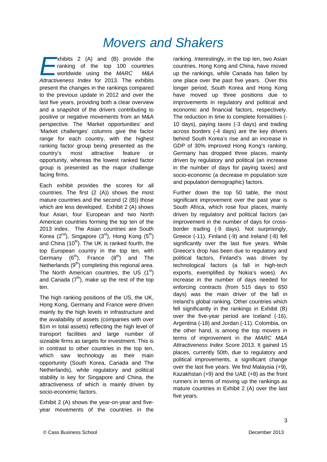## *Movers and Shakers*

 $\blacktriangleright$  xhibits 2 (A) and (B) provide the ranking of the top 100 countries worldwide using the *MARC M&A Athibits 2 (A) and (B) provide the*<br> **Athing of the top 100 countries**<br> *Attractiveness Index for 2013. The exhibits* present the changes in the rankings compared to the previous update in 2012 and over the last five years, providing both a clear overview and a snapshot of the drivers contributing to positive or negative movements from an M&A perspective. The 'Market opportunities' and 'Market challenges' columns give the factor range for each country, with the highest ranking factor group being presented as the country's most attractive feature or opportunity, whereas the lowest ranked factor group is presented as the major challenge facing firms.

Each exhibit provides the scores for all countries. The first (2 (A)) shows the most mature countries and the second (2 (B)) those which are less developed. Exhibit 2 (A) shows four Asian, four European and two North American countries forming the top ten of the 2013 index. The Asian countries are South Korea  $(2^{nd})$ , Singapore  $(3^{rd})$ , Hong Kong  $(5^{th})$ and China  $(10<sup>th</sup>)$ . The UK is ranked fourth, the top European country in the top ten, with Germany  $(6<sup>th</sup>)$ , France  $(8<sup>th</sup>)$  and The Netherlands  $(9<sup>th</sup>)$  completing this regional area. The North American countries, the US  $(1<sup>st</sup>)$ and Canada  $(7<sup>th</sup>)$ , make up the rest of the top ten.

The high ranking positions of the US, the UK, Hong Kong, Germany and France were driven mainly by the high levels in infrastructure and the availability of assets (companies with over \$1m in total assets) reflecting the high level of transport facilities and large number of sizeable firms as targets for investment. This is in contrast to other countries in the top ten, which saw technology as their main opportunity (South Korea, Canada and The Netherlands), while regulatory and political stability is key for Singapore and China, the attractiveness of which is mainly driven by socio-economic factors.

Exhibit 2 (A) shows the year-on-year and fiveyear movements of the countries in the ranking. Interestingly, in the top ten, two Asian countries, Hong Kong and China, have moved up the rankings, while Canada has fallen by one place over the past five years. Over this longer period, South Korea and Hong Kong have moved up three positions due to improvements in regulatory and political and economic and financial factors, respectively. The reduction in time to complete formalities (- 10 days), paying taxes (-3 days) and trading across borders (-4 days) are the key drivers behind South Korea's rise and an increase in GDP of 30% improved Hong Kong's ranking. Germany has dropped three places, mainly driven by regulatory and political (an increase in the number of days for paying taxes) and socio-economic (a decrease in population size and population demographic) factors.

Further down the top 50 table, the most significant improvement over the past year is South Africa, which rose four places, mainly driven by regulatory and political factors (an improvement in the number of days for crossborder trading (-9 days). Not surprisingly, Greece (-11), Finland (-9) and Ireland (-8) fell significantly over the last five years. While Greece's drop has been due to regulatory and political factors, Finland's was driven by technological factors (a fall in high-tech exports, exemplified by Nokia's woes). An increase in the number of days needed for enforcing contracts (from 515 days to 650 days) was the main driver of the fall in Ireland's global ranking. Other countries which fell significantly in the rankings in Exhibit (B) over the five-year period are Iceland (-16), Argentina (-18) and Jordan (-11). Colombia, on the other hand, is among the top movers in terms of improvement in the *MARC M&A Attractiveness Index Score* 2013. It gained 15 places, currently 50th, due to regulatory and political improvements, a significant change over the last five years. We find Malaysia (+9), Kazakhstan (+9) and the UAE (+8) as the front runners in terms of moving up the rankings as mature countries in Exhibit 2 (A) over the last five years.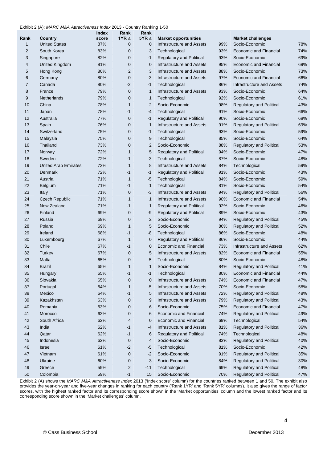#### Exhibit 2 (A): *MARC M&A Attractiveness Index* 2013 - Country Ranking 1-50

| Rank             | Country                     | Index<br>score | Rank<br>1YR $\Delta$    | Rank<br>5YR $\Delta$ | <b>Market opportunities</b>     |     | <b>Market challenges</b>        |     |
|------------------|-----------------------------|----------------|-------------------------|----------------------|---------------------------------|-----|---------------------------------|-----|
| $\mathbf{1}$     | <b>United States</b>        | 87%            | $\mathbf 0$             | $\mathbf 0$          | Infrastructure and Assets       | 99% | Socio-Economic                  | 78% |
| $\overline{2}$   | South Korea                 | 83%            | $\mathbf 0$             | 3                    | Technological                   | 93% | <b>Economic and Financial</b>   | 74% |
| 3                | Singapore                   | 82%            | $\mathbf 0$             | $-1$                 | Regulatory and Political        | 93% | Socio-Economic                  | 69% |
| $\overline{4}$   | <b>United Kingdom</b>       | 81%            | $\mathbf 0$             | $\mathbf 0$          | Infrastructure and Assets       | 95% | <b>Economic and Financial</b>   | 69% |
| 5                | Hong Kong                   | 80%            | $\overline{2}$          | 3                    | Infrastructure and Assets       | 88% | Socio-Economic                  | 73% |
| 6                | Germany                     | 80%            | $\mathbf 0$             | $-3$                 | Infrastructure and Assets       | 97% | <b>Economic and Financial</b>   | 66% |
| $\overline{7}$   | Canada                      | 80%            | $-2$                    | $-1$                 | Technological                   | 86% | Infrastructure and Assets       | 74% |
| 8                | France                      | 79%            | $\mathbf 0$             | 1                    | Infrastructure and Assets       | 93% | Socio-Economic                  | 64% |
| $\boldsymbol{9}$ | Netherlands                 | 79%            | $\mathbf 0$             | 1                    | Technological                   | 92% | Socio-Economic                  | 61% |
| 10               | China                       | 78%            | $\mathbf{1}$            | $\overline{2}$       | Socio-Economic                  | 98% | <b>Regulatory and Political</b> | 43% |
| 11               | Japan                       | 78%            | -1                      | $-4$                 | Technological                   | 91% | Socio-Economic                  | 66% |
| 12               | Australia                   | 77%            | 0                       | $-1$                 | <b>Regulatory and Political</b> | 90% | Socio-Economic                  | 68% |
| 13               | Spain                       | 76%            | $\mathbf 0$             | $\mathbf{1}$         | Infrastructure and Assets       | 91% | <b>Regulatory and Political</b> | 69% |
| 14               | Switzerland                 | 75%            | 0                       | $-1$                 | Technological                   | 93% | Socio-Economic                  | 59% |
| 15               | Malaysia                    | 75%            | 0                       | 9                    | Technological                   | 85% | Socio-Economic                  | 64% |
| 16               | Thailand                    | 73%            | 0                       | $\mathbf{2}$         | Socio-Economic                  | 88% | <b>Regulatory and Political</b> | 53% |
| 17               | Norway                      | 72%            | $\mathbf{1}$            | 5                    | <b>Regulatory and Political</b> | 94% | Socio-Economic                  | 47% |
| 18               | Sweden                      | 72%            | -1                      | $-3$                 | Technological                   | 87% | Socio-Economic                  | 48% |
| 19               | <b>United Arab Emirates</b> | 72%            | $\mathbf{1}$            | 8                    | Infrastructure and Assets       | 84% | Technological                   | 59% |
| 20               | Denmark                     | 72%            | -1                      | $-1$                 | Regulatory and Political        | 91% | Socio-Economic                  | 43% |
| 21               | Austria                     | 71%            | $\mathbf{1}$            | $-5$                 | Technological                   | 84% | Socio-Economic                  | 59% |
| 22               | Belgium                     | 71%            | -1                      | $\mathbf{1}$         | Technological                   | 81% | Socio-Economic                  | 54% |
| 23               | Italy                       | 71%            | $\mathbf 0$             | -3                   | Infrastructure and Assets       | 94% | <b>Regulatory and Political</b> | 56% |
| 24               | <b>Czech Republic</b>       | 71%            | $\mathbf{1}$            | 1                    | Infrastructure and Assets       | 90% | <b>Economic and Financial</b>   | 54% |
| 25               | New Zealand                 | 71%            | -1                      | 1                    | Regulatory and Political        | 92% | Socio-Economic                  | 46% |
| 26               | Finland                     | 69%            | 0                       | -9                   | <b>Regulatory and Political</b> | 89% | Socio-Economic                  | 43% |
| 27               | Russia                      | 69%            | $\mathbf 0$             | 2                    | Socio-Economic                  | 94% | <b>Regulatory and Political</b> | 45% |
| 28               | Poland                      | 69%            | $\mathbf{1}$            | 5                    | Socio-Economic                  | 86% | <b>Regulatory and Political</b> | 52% |
| 29               | Ireland                     | 68%            | -1                      | -8                   | Technological                   | 86% | Socio-Economic                  | 48% |
| 30               | Luxembourg                  | 67%            | $\mathbf{1}$            | $\mathbf 0$          | Regulatory and Political        | 86% | Socio-Economic                  | 44% |
| 31               | Chile                       | 67%            | -1                      | 0                    | <b>Economic and Financial</b>   | 73% | Infrastructure and Assets       | 62% |
| 32               | Turkey                      | 67%            | 0                       | 5                    | Infrastructure and Assets       | 82% | <b>Economic and Financial</b>   | 55% |
| 33               | Malta                       | 65%            | $\mathbf 0$             | -5                   | Technological                   | 80% | Socio-Economic                  | 48% |
| 34               | <b>Brazil</b>               | 65%            | 1                       | 1                    | Socio-Economic                  | 84% | <b>Regulatory and Political</b> | 41% |
| 35               | Hungary                     | 65%            | $-1$                    | $-1$                 | Technological                   | 80% | Economic and Financial          | 44% |
| 36               | Slovakia                    | 65%            | 0                       | 0                    | Infrastructure and Assets       | 74% | Economic and Financial          | 47% |
| 37               | Portugal                    | 64%            | 1                       | -5                   | Infrastructure and Assets       | 70% | Socio-Economic                  | 58% |
| 38               | Mexico                      | 64%            | -1                      | 5                    | Infrastructure and Assets       | 72% | <b>Regulatory and Political</b> | 48% |
| 39               | Kazakhstan                  | 63%            | 0                       | 9                    | Infrastructure and Assets       | 79% | Regulatory and Political        | 43% |
| 40               | Romania                     | 63%            | 0                       | 6                    | Socio-Economic                  | 75% | <b>Economic and Financial</b>   | 47% |
| 41               | Morocco                     | 63%            | 0                       | 6                    | <b>Economic and Financial</b>   | 74% | Regulatory and Political        | 49% |
| 42               | South Africa                | 62%            | 4                       | 0                    | <b>Economic and Financial</b>   | 69% | Technological                   | 54% |
| 43               | India                       | 62%            | -1                      | -4                   | Infrastructure and Assets       | 81% | <b>Regulatory and Political</b> | 36% |
| 44               | Qatar                       | 62%            | $-1$                    | 6                    | Regulatory and Political        | 74% | Technological                   | 48% |
| 45               | Indonesia                   | 62%            | 0                       | 4                    | Socio-Economic                  | 83% | <b>Regulatory and Political</b> | 40% |
| 46               | Israel                      | 61%            | $-2$                    | -5                   | Technological                   | 81% | Socio-Economic                  | 42% |
| 47               | Vietnam                     | 61%            | 0                       | $-2$                 | Socio-Economic                  | 91% | Regulatory and Political        | 35% |
| 48               | Ukraine                     | 60%            | 0                       | 3                    | Socio-Economic                  | 84% | Regulatory and Political        | 30% |
| 49               | Greece                      | 59%            | $\overline{\mathbf{c}}$ | $-11$                | Technological                   | 69% | Regulatory and Political        | 48% |
| 50               | Colombia                    | 59%            | $-1$                    | 15                   | Socio-Economic                  | 70% | <b>Regulatory and Political</b> | 47% |

Exhibit 2 (A) shows the *MARC M&A Attractiveness Index* 2013 ('Index score' column) for the countries ranked between 1 and 50. The exhibit also provides the year-on-year and five-year changes in ranking for each country ('Rank 1YR' and 'Rank 5YR' columns). It also gives the range of factor scores, with the highest ranked factor and its corresponding score shown in the 'Market opportunities' column and the lowest ranked factor and its corresponding score shown in the 'Market challenges' column.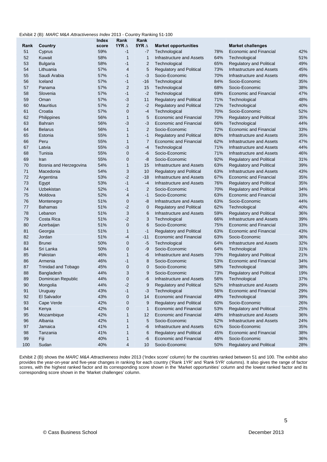#### Exhibit 2 (B): *MARC M&A Attractiveness Index* 2013 - Country Ranking 51-100

|      |                            | Index | Rank             | Rank           |                                  |     |                                  |     |
|------|----------------------------|-------|------------------|----------------|----------------------------------|-----|----------------------------------|-----|
| Rank | Country                    | score | 1YR $\Delta$     | 5YR $\Delta$   | <b>Market opportunities</b>      |     | <b>Market challenges</b>         |     |
| 51   | Cyprus                     | 59%   | $-1$             | -7             | Technological                    | 78% | <b>Economic and Financial</b>    | 42% |
| 52   | Kuwait                     | 58%   | $\overline{1}$   | $\mathbf{1}$   | Infrastructure and Assets        | 64% | Technological                    | 51% |
| 53   | <b>Bulgaria</b>            | 58%   | $-1$             | $\overline{2}$ | Technological                    | 65% | <b>Regulatory and Political</b>  | 49% |
| 54   | Lithuania                  | 57%   | $\overline{4}$   | 5              | <b>Regulatory and Political</b>  | 73% | Infrastructure and Assets        | 45% |
| 55   | Saudi Arabia               | 57%   | $-1$             | -3             | Socio-Economic                   | 70% | Infrastructure and Assets        | 49% |
| 56   | Iceland                    | 57%   | $-1$             | $-16$          | Technological                    | 84% | Socio-Economic                   | 35% |
| 57   | Panama                     | 57%   | $\overline{2}$   | 15             | Technological                    | 68% | Socio-Economic                   | 38% |
| 58   | Slovenia                   | 57%   | $-1$             | $-2$           | Technological                    | 69% | <b>Economic and Financial</b>    | 47% |
| 59   | Oman                       | 57%   | $-3$             | 11             | <b>Regulatory and Political</b>  | 71% | Technological                    | 48% |
| 60   | <b>Mauritius</b>           | 57%   | $\overline{2}$   | $-2$           | <b>Regulatory and Political</b>  | 72% | Technological                    | 40% |
| 61   | Croatia                    | 57%   | $\mathbf{0}$     | -4             | Technological                    | 70% | Socio-Economic                   | 52% |
| 62   | Philippines                | 56%   | $\mathbf{1}$     | 5              | <b>Economic and Financial</b>    | 70% | <b>Regulatory and Political</b>  | 35% |
| 63   | <b>Bahrain</b>             | 56%   | $-3$             | -3             | <b>Economic and Financial</b>    | 66% | Technological                    | 44% |
| 64   | <b>Belarus</b>             | 56%   | $\mathbf{1}$     | $\overline{2}$ | Socio-Economic                   | 72% | <b>Economic and Financial</b>    | 33% |
| 65   | Estonia                    | 55%   | $\mathbf{1}$     | $-1$           | <b>Regulatory and Political</b>  | 80% | Infrastructure and Assets        | 35% |
| 66   | Peru                       | 55%   | $\mathbf{1}$     | $\overline{7}$ | Economic and Financial           | 62% | Infrastructure and Assets        | 47% |
| 67   | Latvia                     | 55%   | -3               | -4             | Technological                    | 71% | Infrastructure and Assets        | 44% |
| 68   | Tunisia                    | 55%   | $\mathbf 0$      | -6             | Socio-Economic                   | 71% | Infrastructure and Assets        | 46% |
| 69   | Iran                       | 55%   | $\mathbf 0$      | -8             | Socio-Economic                   | 92% | <b>Regulatory and Political</b>  | 31% |
| 70   | Bosnia and Herzegovina     | 54%   | $\mathbf{1}$     | 15             | Infrastructure and Assets        | 63% | <b>Regulatory and Political</b>  | 39% |
| 71   | Macedonia                  | 54%   | 3                | 10             | <b>Regulatory and Political</b>  | 63% | <b>Infrastructure and Assets</b> | 43% |
| 72   | Argentina                  | 53%   | $-2$             | $-18$          | Infrastructure and Assets        | 67% | <b>Economic and Financial</b>    | 35% |
| 73   | Egypt                      | 53%   | $-1$             | $-4$           | <b>Infrastructure and Assets</b> | 76% | Regulatory and Political         | 35% |
| 74   | Uzbekistan                 | 52%   | $-1$             | $\overline{2}$ | Socio-Economic                   | 70% | <b>Regulatory and Political</b>  | 34% |
| 75   | Moldova                    | 52%   | $\overline{4}$   | $-1$           | Socio-Economic                   | 63% | <b>Economic and Financial</b>    | 33% |
| 76   | Montenegro                 | 51%   | $\mathbf 0$      | -8             | Infrastructure and Assets        | 63% | Socio-Economic                   | 44% |
| 77   | <b>Bahamas</b>             | 51%   | $-2$             | $\mathbf 0$    | <b>Regulatory and Political</b>  | 62% | Technological                    | 40% |
| 78   | Lebanon                    | 51%   | 3                | 6              | Infrastructure and Assets        | 59% | Regulatory and Political         | 36% |
| 79   | Costa Rica                 | 51%   | $-2$             | 3              | Technological                    | 66% | Infrastructure and Assets        | 39% |
| 80   | Azerbaijan                 | 51%   | $\mathbf 0$      | 6              | Socio-Economic                   | 75% | <b>Economic and Financial</b>    | 33% |
| 81   | Georgia                    | 51%   | $\overline{1}$   | $-1$           | <b>Regulatory and Political</b>  | 63% | <b>Economic and Financial</b>    | 43% |
| 82   | Jordan                     | 51%   | $-4$             | $-11$          | <b>Economic and Financial</b>    | 63% | Socio-Economic                   | 36% |
| 83   | <b>Brunei</b>              | 50%   | $\mathbf 0$      | $-5$           | Technological                    | 64% | <b>Infrastructure and Assets</b> | 32% |
| 84   | Sri Lanka                  | 50%   | $\mathbf 0$      | -9             | Socio-Economic                   | 64% | Technological                    | 31% |
| 85   | Pakistan                   | 46%   | $\mathbf{1}$     | -6             | Infrastructure and Assets        | 70% | Regulatory and Political         | 21% |
| 86   | Armenia                    | 46%   | $-1$             | 8              | Socio-Economic                   | 53% | <b>Economic and Financial</b>    | 34% |
| 87   | <b>Trinidad and Tobago</b> | 45%   | $\mathbf 0$      | $\mathbf 0$    | Socio-Economic                   | 58% | Technological                    | 38% |
| 88   |                            | 44%   | 3                | 9              | Socio-Economic                   | 73% |                                  | 19% |
| 89   | Bangladesh                 | 44%   | $\mathbf 0$      | -6             | Infrastructure and Assets        | 56% | Regulatory and Political         | 37% |
|      | Dominican Republic         |       |                  |                |                                  |     | Technological                    |     |
| 90   | Mongolia                   | 44%   | -2               | 9              | <b>Regulatory and Political</b>  | 52% | Infrastructure and Assets        | 29% |
| 91   | Uruguay                    | 43%   | $-1$             | $-3$           | Technological                    | 56% | Economic and Financial           | 29% |
| 92   | El Salvador                | 43%   | $\boldsymbol{0}$ | 14             | <b>Economic and Financial</b>    | 49% | Technological                    | 39% |
| 93   | Cape Verde                 | 42%   | $\boldsymbol{0}$ | 9              | <b>Regulatory and Political</b>  | 60% | Socio-Economic                   | 26% |
| 94   | Kenya                      | 42%   | $\mathbf 0$      | 1              | <b>Economic and Financial</b>    | 53% | Regulatory and Political         | 25% |
| 95   | Mozambique                 | 42%   | 1                | 12             | Economic and Financial           | 48% | Infrastructure and Assets        | 36% |
| 96   | Albania                    | 42%   | $\mathbf{1}$     | 5              | Socio-Economic                   | 52% | <b>Infrastructure and Assets</b> | 24% |
| 97   | Jamaica                    | 41%   | $\mathbf{1}$     | -6             | Infrastructure and Assets        | 61% | Socio-Economic                   | 35% |
| 98   | Tanzania                   | 41%   | $\mathbf{1}$     | 6              | <b>Regulatory and Political</b>  | 45% | <b>Economic and Financial</b>    | 38% |
| 99   | Fiji                       | 40%   | 1                | -6             | <b>Economic and Financial</b>    | 46% | Socio-Economic                   | 36% |
| 100  | Sudan                      | 40%   | 4                | 10             | Socio-Economic                   | 50% | <b>Regulatory and Political</b>  | 28% |

Exhibit 2 (B) shows the *MARC M&A Attractiveness Index* 2013 ('Index score' column) for the countries ranked between 51 and 100. The exhibit also provides the year-on-year and five-year changes in ranking for each country ('Rank 1YR' and 'Rank 5YR' columns). It also gives the range of factor scores, with the highest ranked factor and its corresponding score shown in the 'Market opportunities' column and the lowest ranked factor and its corresponding score shown in the 'Market challenges' column.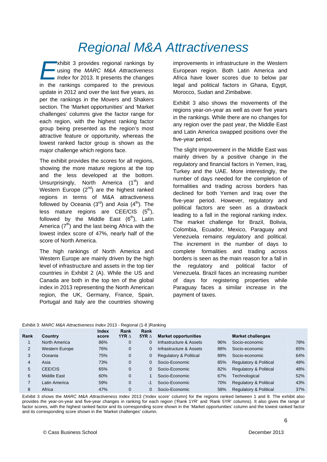## *Regional M&A Attractiveness*

xhibit 3 provides regional rankings by using the *MARC M&A Attractiveness Index* for 2013. It presents the changes xhibit 3 provides regional rankings by<br>using the *MARC M&A Attractiveness*<br>*Index* for 2013. It presents the changes<br>in the rankings compared to the previous update in 2012 and over the last five years, as per the rankings in the Movers and Shakers section. The 'Market opportunities' and 'Market challenges' columns give the factor range for each region, with the highest ranking factor group being presented as the region's most attractive feature or opportunity, whereas the lowest ranked factor group is shown as the major challenge which regions face.

The exhibit provides the scores for all regions, showing the more mature regions at the top and the less developed at the bottom. Unsurprisingly, North America  $(1<sup>st</sup>)$  and Western Europe  $(2^{nd})$  are the highest ranked regions in terms of M&A attractiveness followed by Oceania  $(3^{rd})$  and Asia  $(4^{th})$ . The less mature regions are CEE/CIS  $(5<sup>th</sup>)$ , followed by the Middle East  $(6<sup>th</sup>)$ , Latin America  $(7<sup>th</sup>)$  and the last being Africa with the lowest index score of 47%, nearly half of the score of North America.

The high rankings of North America and Western Europe are mainly driven by the high level of infrastructure and assets in the top tier countries in Exhibit 2 (A). While the US and Canada are both in the top ten of the global index in 2013 representing the North American region, the UK, Germany, France, Spain, Portugal and Italy are the countries showing

improvements in infrastructure in the Western European region. Both Latin America and Africa have lower scores due to below par legal and political factors in Ghana, Egypt, Morocco, Sudan and Zimbabwe.

Exhibit 3 also shows the movements of the regions year-on-year as well as over five years in the rankings. While there are no changes for any region over the past year, the Middle East and Latin America swapped positions over the five-year period.

The slight improvement in the Middle East was mainly driven by a positive change in the regulatory and financial factors in Yemen, Iraq, Turkey and the UAE. More interestingly, the number of days needed for the completion of formalities and trading across borders has declined for both Yemen and Iraq over the five-year period. However, regulatory and political factors are seen as a drawback leading to a fall in the regional ranking index. The market challenge for Brazil, Bolivia, Colombia, Ecuador, Mexico, Paraguay and Venezuela remains regulatory and political. The increment in the number of days to complete formalities and trading across borders is seen as the main reason for a fall in the regulatory and political factor of Venezuela. Brazil faces an increasing number of days for registering properties while Paraguay faces a similar increase in the payment of taxes.

| Exhibit 3: MARC M&A Attractiveness Index 2013 - Regional (1-8 ) Ranking |  |  |
|-------------------------------------------------------------------------|--|--|

|                |                       | <b>Index</b> | Rank           | Rank         |                                   |     |                                   |     |
|----------------|-----------------------|--------------|----------------|--------------|-----------------------------------|-----|-----------------------------------|-----|
| Rank           | Country               | score        | 1YR $\Delta$   | 5YR $\Delta$ | <b>Market opportunities</b>       |     | <b>Market challenges</b>          |     |
|                | North America         | 86%          | 0              |              | Infrastructure & Assets           | 96% | Socio-economic                    | 78% |
| $\overline{2}$ | <b>Western Europe</b> | 76%          | 0              |              | Infrastructure & Assets           | 88% | Socio-economic                    | 65% |
| 3              | Oceania               | 75%          | 0              | 0            | <b>Regulatory &amp; Political</b> | 89% | Socio-economic                    | 64% |
| 4              | Asia                  | 73%          | $\overline{0}$ |              | Socio-Economic                    | 85% | Regulatory & Political            | 48% |
| 5              | CEE/CIS               | 65%          | 0              | 0            | Socio-Economic                    | 82% | <b>Regulatory &amp; Political</b> | 48% |
| 6              | Middle East           | 60%          | $\overline{0}$ |              | Socio-Economic                    | 67% | Technological                     | 52% |
|                | Latin America         | 59%          | 0              | -1           | Socio-Economic                    | 70% | Regulatory & Political            | 43% |
| 8              | Africa                | 47%          | 0              |              | Socio-Economic                    | 58% | <b>Regulatory &amp; Political</b> | 37% |

Exhibit 3 shows the *MARC M&A Attractiveness Index* 2013 ('Index score' column) for the regions ranked between 1 and 8. The exhibit also provides the year-on-year and five-year changes in ranking for each region ('Rank 1YR' and 'Rank 5YR' columns). It also gives the range of factor scores, with the highest ranked factor and its corresponding score shown in the 'Market opportunities' column and the lowest ranked factor and its corresponding score shown in the 'Market challenges' column.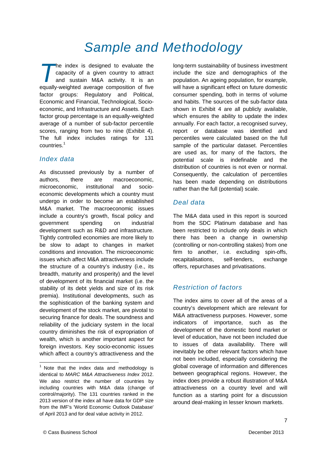# *Sample and Methodology*

he index is designed to evaluate the capacity of a given country to attract and sustain M&A activity. It is an The index is designed to evaluate the capacity of a given country to attract and sustain M&A activity. It is an equally-weighted average composition of five factor groups: Regulatory and Political, Economic and Financial, Technological, Socioeconomic, and Infrastructure and Assets. Each factor group percentage is an equally-weighted average of a number of sub-factor percentile scores, ranging from two to nine (Exhibit 4). The full index includes ratings for 131 countries.<sup>1</sup>

### *Index data*

As discussed previously by a number of authors, there are macroeconomic, microeconomic, institutional and socioeconomic developments which a country must undergo in order to become an established M&A market. The macroeconomic issues include a country's growth, fiscal policy and government spending on industrial development such as R&D and infrastructure. Tightly controlled economies are more likely to be slow to adapt to changes in market conditions and innovation. The microeconomic issues which affect M&A attractiveness include the structure of a country's industry (i.e., its breadth, maturity and prosperity) and the level of development of its financial market (i.e. the stability of its debt yields and size of its risk premia). Institutional developments, such as the sophistication of the banking system and development of the stock market, are pivotal to securing finance for deals. The soundness and reliability of the judiciary system in the local country diminishes the risk of expropriation of wealth, which is another important aspect for foreign investors. Key socio-economic issues which affect a country's attractiveness and the

long-term sustainability of business investment include the size and demographics of the population. An ageing population, for example, will have a significant effect on future domestic consumer spending, both in terms of volume and habits. The sources of the sub-factor data shown in Exhibit 4 are all publicly available, which ensures the ability to update the index annually. For each factor, a recognised survey, report or database was identified and percentiles were calculated based on the full sample of the particular dataset. Percentiles are used as, for many of the factors, the potential scale is indefinable and the distribution of countries is not even or normal. Consequently, the calculation of percentiles has been made depending on distributions rather than the full (potential) scale.

### *Deal data*

The M&A data used in this report is sourced from the SDC Platinum database and has been restricted to include only deals in which there has been a change in ownership (controlling or non-controlling stakes) from one firm to another, i.e. excluding spin-offs, recapitalisations, self-tenders, exchange offers, repurchases and privatisations.

## *Restriction of factors*

The index aims to cover all of the areas of a country's development which are relevant for M&A attractiveness purposes. However, some indicators of importance, such as the development of the domestic bond market or level of education, have not been included due to issues of data availability. There will inevitably be other relevant factors which have not been included, especially considering the global coverage of information and differences between geographical regions. However, the index does provide a robust illustration of M&A attractiveness on a country level and will function as a starting point for a discussion around deal-making in lesser known markets.

 $1$  Note that the index data and methodology is identical to *MARC M&A Attractiveness Index* 2012. We also restrict the number of countries by including countries with M&A data (change of control/majority). The 131 countries ranked in the 2013 version of the index all have data for GDP size from the IMF's 'World Economic Outlook Database' of April 2013 and for deal value activity in 2012.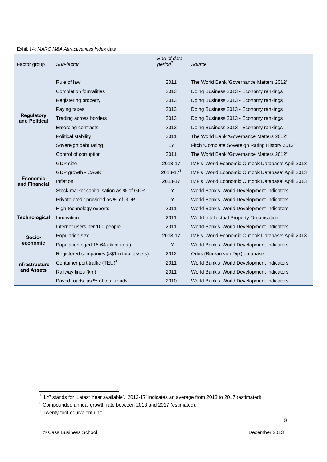#### Exhibit 4: *MARC M&A Attractiveness Index* data

| Factor group                       | Sub-factor                                | End of data<br>period <sup>2</sup> | Source                                             |
|------------------------------------|-------------------------------------------|------------------------------------|----------------------------------------------------|
|                                    | Rule of law                               | 2011                               | The World Bank 'Governance Matters 2012'           |
|                                    | <b>Completion formalities</b>             | 2013                               | Doing Business 2013 - Economy rankings             |
|                                    | Registering property                      | 2013                               | Doing Business 2013 - Economy rankings             |
|                                    | Paying taxes                              | 2013                               | Doing Business 2013 - Economy rankings             |
| <b>Regulatory</b><br>and Political | Trading across borders                    | 2013                               | Doing Business 2013 - Economy rankings             |
|                                    | Enforcing contracts                       | 2013                               | Doing Business 2013 - Economy rankings             |
|                                    | Political stability                       | 2011                               | The World Bank 'Governance Matters 2012'           |
|                                    | Sovereign debt rating                     | <b>LY</b>                          | Fitch 'Complete Sovereign Rating History 2012'     |
|                                    | Control of corruption                     | 2011                               | The World Bank 'Governance Matters 2012'           |
|                                    | <b>GDP</b> size                           | 2013-17                            | IMF's 'World Economic Outlook Database' April 2013 |
|                                    | GDP growth - CAGR                         | $2013 - 17^{3}$                    | IMF's 'World Economic Outlook Database' April 2013 |
| <b>Economic</b><br>and Financial   | Inflation                                 | 2013-17                            | IMF's 'World Economic Outlook Database' April 2013 |
|                                    | Stock market capitalisation as % of GDP   | LY                                 | World Bank's 'World Development Indicators'        |
|                                    | Private credit provided as % of GDP       | <b>LY</b>                          | World Bank's 'World Development Indicators'        |
|                                    | High-technology exports                   | 2011                               | World Bank's 'World Development Indicators'        |
| <b>Technological</b>               | Innovation                                | 2011                               | World Intellectual Property Organisation           |
|                                    | Internet users per 100 people             | 2011                               | World Bank's 'World Development Indicators'        |
| Socio-                             | Population size                           | 2013-17                            | IMF's 'World Economic Outlook Database' April 2013 |
| economic                           | Population aged 15-64 (% of total)        | LY                                 | World Bank's 'World Development Indicators'        |
|                                    | Registered companies (>\$1m total assets) | 2012                               | Orbis (Bureau von Dijk) database                   |
| <b>Infrastructure</b>              | Container port traffic (TEU) <sup>4</sup> | 2011                               | World Bank's 'World Development Indicators'        |
| and Assets                         | Railway lines (km)                        | 2011                               | World Bank's 'World Development Indicators'        |
|                                    | Paved roads as % of total roads           | 2010                               | World Bank's 'World Development Indicators'        |

 2 'LY' stands for 'Latest Year available'. '2013-17' indicates an average from 2013 to 2017 (estimated).

 $3$  Compounded annual growth rate between 2013 and 2017 (estimated).

<sup>&</sup>lt;sup>4</sup> Twenty-foot equivalent unit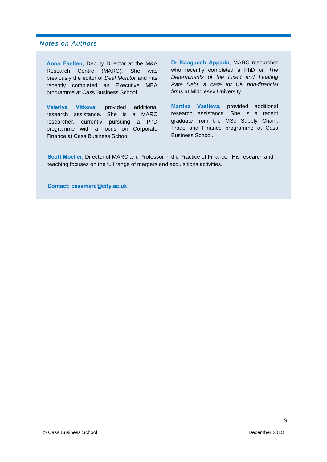### *Notes on Authors*

**Anna Faelten**, Deputy Director at the M&A Research Centre (MARC). She was previously the editor of *Deal Monitor* and has recently completed an Executive MBA programme at Cass Business School.

**Valeriya Vitkova**, provided additional research assistance. She is a MARC researcher, currently pursuing a PhD programme with a focus on Corporate Finance at Cass Business School.

**Dr Naaguesh Appadu**, MARC researcher who recently completed a PhD on *The Determinants of the Fixed and Floating Rate Debt: a case for UK non-financial firms* at Middlesex University.

**Martina Vasileva,** provided additional research assistance. She is a recent graduate from the MSc Supply Chain, Trade and Finance programme at Cass Business School.

**Scott Moeller,** Director of MARC and Professor in the Practice of Finance. His research and teaching focuses on the full range of mergers and acquisitions activities.

**Contact: cassmarc@city.ac.uk**